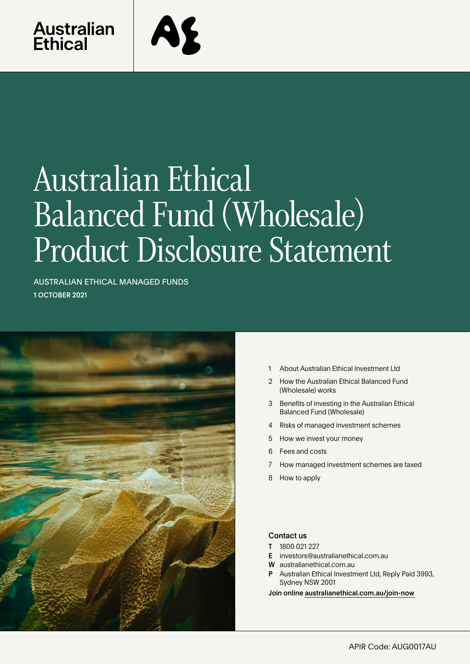

# Australian Ethical Balanced Fund (Wholesale) Product Disclosure Statement

AUSTRALIAN ETHICAL MANAGED FUNDS 1 OCTOBER 2021



- 1 About Australian Ethical Investment Ltd
- 2 [How the Australian Ethical Balanced Fund](#page-1-0)  [\(Wholesale\) works](#page-1-0)
- 3 [Benefits of investing in the Australian Ethical](#page-2-0)  [Balanced Fund \(Wholesale\)](#page-2-0)
- 4 [Risks of managed investment schemes](#page-4-0)
- 5 [How we invest your money](#page-4-0)
- 6 [Fees and costs](#page-5-0)
- 7 [How managed investment schemes are taxed](#page-6-0)
- 8 [How to apply](#page-7-0)

# Contact us

- T 1800 021 227
- E investors@australianethical.com.au
- W [australianethical.com.au](http://members@australianethical.com.au)
- Australian Ethical Investment Ltd, Reply Paid 3993, Sydney NSW 2001

Join online [australianethical.com.au/join-now](http://australianethical.com.au/join-now)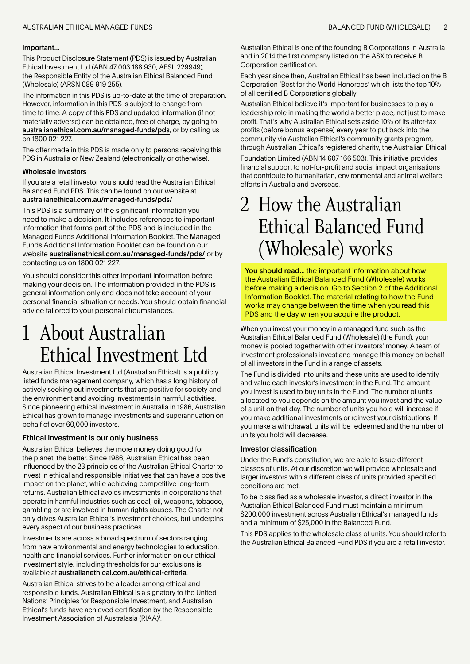#### <span id="page-1-0"></span>AUSTRALIAN ETHICAL MANAGED FUNDS BALANCED FUND (WHOLESALE) 2

#### Important...

This Product Disclosure Statement (PDS) is issued by Australian Ethical Investment Ltd (ABN 47 003 188 930, AFSL 229949), the Responsible Entity of the Australian Ethical Balanced Fund (Wholesale) (ARSN 089 919 255).

The information in this PDS is up-to-date at the time of preparation. However, information in this PDS is subject to change from time to time. A copy of this PDS and updated information (if not materially adverse) can be obtained, free of charge, by going to [australianethical.com.au/managed-funds/pds](http://australianethical.com.au/managed-funds/pds), or by calling us on 1800 021 227.

The offer made in this PDS is made only to persons receiving this PDS in Australia or New Zealand (electronically or otherwise).

#### Wholesale investors

If you are a retail investor you should read the Australian Ethical Balanced Fund PDS. This can be found on our website at [australianethical.com.au/managed-funds/pds/](http://australianethical.com.au/managed-funds/pds/)

This PDS is a summary of the significant information you need to make a decision. It includes references to important information that forms part of the PDS and is included in the Managed Funds Additional Information Booklet. The Managed Funds Additional Information Booklet can be found on our website [australianethical.com.au/managed-funds/pds/](http://australianethical.com.au/managed-funds/pds/) or by contacting us on 1800 021 227.

You should consider this other important information before making your decision. The information provided in the PDS is general information only and does not take account of your personal financial situation or needs. You should obtain financial advice tailored to your personal circumstances.

# 1 About Australian Ethical Investment Ltd

Australian Ethical Investment Ltd (Australian Ethical) is a publicly listed funds management company, which has a long history of actively seeking out investments that are positive for society and the environment and avoiding investments in harmful activities. Since pioneering ethical investment in Australia in 1986, Australian Ethical has grown to manage investments and superannuation on behalf of over 60,000 investors.

# Ethical investment is our only business

Australian Ethical believes the more money doing good for the planet, the better. Since 1986, Australian Ethical has been influenced by the 23 principles of the Australian Ethical Charter to invest in ethical and responsible initiatives that can have a positive impact on the planet, while achieving competitive long-term returns. Australian Ethical avoids investments in corporations that operate in harmful industries such as coal, oil, weapons, tobacco, gambling or are involved in human rights abuses. The Charter not only drives Australian Ethical's investment choices, but underpins every aspect of our business practices.

Investments are across a broad spectrum of sectors ranging from new environmental and energy technologies to education, health and financial services. Further information on our ethical investment style, including thresholds for our exclusions is available at australianethical.com.au/ethical-criteria.

Australian Ethical strives to be a leader among ethical and responsible funds. Australian Ethical is a signatory to the United Nations' Principles for Responsible Investment, and Australian Ethical's funds have achieved certification by the Responsible Investment Association of Australasia (RIAA)<sup>1</sup>.

Australian Ethical is one of the founding B Corporations in Australia and in 2014 the first company listed on the ASX to receive B Corporation certification.

Each year since then, Australian Ethical has been included on the B Corporation 'Best for the World Honorees' which lists the top 10% of all certified B Corporations globally.

Australian Ethical believe it's important for businesses to play a leadership role in making the world a better place, not just to make profit. That's why Australian Ethical sets aside 10% of its after-tax profits (before bonus expense) every year to put back into the community via Australian Ethical's community grants program, through Australian Ethical's registered charity, the Australian Ethical Foundation Limited (ABN 14 607 166 503). This initiative provides financial support to not-for-profit and social impact organisations that contribute to humanitarian, environmental and animal welfare efforts in Australia and overseas.

# 2 How the Australian Ethical Balanced Fund (Wholesale) works

You should read... the important information about how the Australian Ethical Balanced Fund (Wholesale) works before making a decision. Go to Section 2 of the Additional Information Booklet. The material relating to how the Fund works may change between the time when you read this PDS and the day when you acquire the product.

When you invest your money in a managed fund such as the Australian Ethical Balanced Fund (Wholesale) (the Fund), your money is pooled together with other investors' money. A team of investment professionals invest and manage this money on behalf of all investors in the Fund in a range of assets.

The Fund is divided into units and these units are used to identify and value each investor's investment in the Fund. The amount you invest is used to buy units in the Fund. The number of units allocated to you depends on the amount you invest and the value of a unit on that day. The number of units you hold will increase if you make additional investments or reinvest your distributions. If you make a withdrawal, units will be redeemed and the number of units you hold will decrease.

#### Investor classification

Under the Fund's constitution, we are able to issue different classes of units. At our discretion we will provide wholesale and larger investors with a different class of units provided specified conditions are met.

To be classified as a wholesale investor, a direct investor in the Australian Ethical Balanced Fund must maintain a minimum \$200,000 investment across Australian Ethical's managed funds and a minimum of \$25,000 in the Balanced Fund.

This PDS applies to the wholesale class of units. You should refer to the Australian Ethical Balanced Fund PDS if you are a retail investor.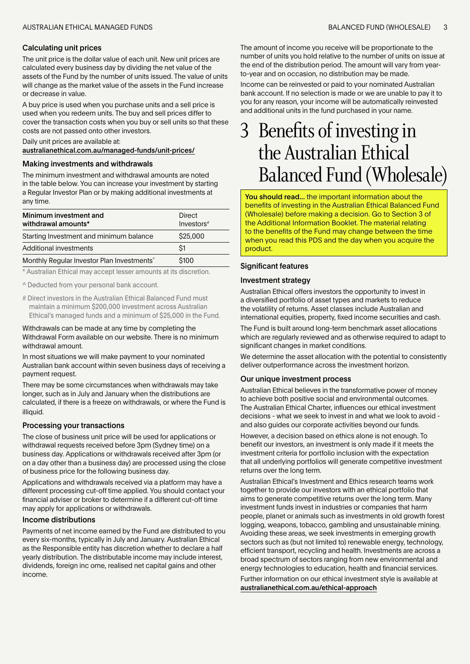#### <span id="page-2-0"></span>Calculating unit prices

The unit price is the dollar value of each unit. New unit prices are calculated every business day by dividing the net value of the assets of the Fund by the number of units issued. The value of units will change as the market value of the assets in the Fund increase or decrease in value.

A buy price is used when you purchase units and a sell price is used when you redeem units. The buy and sell prices differ to cover the transaction costs when you buy or sell units so that these costs are not passed onto other investors.

#### Daily unit prices are available at:

[australianethical.com.au/managed-funds/unit-prices/](http://australianethical.com.au/managed-funds/unit-prices/)

#### Making investments and withdrawals

The minimum investment and withdrawal amounts are noted in the table below. You can increase your investment by starting a Regular Investor Plan or by making additional investments at any time.

| Minimum investment and<br>withdrawal amounts*          | Direct<br>Investors <sup>#</sup> |  |  |
|--------------------------------------------------------|----------------------------------|--|--|
| Starting Investment and minimum balance                | \$25,000                         |  |  |
| Additional investments                                 | $\mathsf{S}1$                    |  |  |
| Monthly Regular Investor Plan Investments <sup>^</sup> | \$100                            |  |  |

\* Australian Ethical may accept lesser amounts at its discretion.

^ Deducted from your personal bank account.

# Direct investors in the Australian Ethical Balanced Fund must maintain a minimum \$200,000 investment across Australian Ethical's managed funds and a minimum of \$25,000 in the Fund.

#### Withdrawals can be made at any time by completing the Withdrawal Form available on our website. There is no minimum withdrawal amount.

In most situations we will make payment to your nominated Australian bank account within seven business days of receiving a payment request.

There may be some circumstances when withdrawals may take longer, such as in July and January when the distributions are calculated, if there is a freeze on withdrawals, or where the Fund is illiquid.

#### Processing your transactions

The close of business unit price will be used for applications or withdrawal requests received before 3pm (Sydney time) on a business day. Applications or withdrawals received after 3pm (or on a day other than a business day) are processed using the close of business price for the following business day.

Applications and withdrawals received via a platform may have a different processing cut-off time applied. You should contact your financial adviser or broker to determine if a different cut-off time may apply for applications or withdrawals.

#### Income distributions

Payments of net income earned by the Fund are distributed to you every six-months, typically in July and January. Australian Ethical as the Responsible entity has discretion whether to declare a half yearly distribution. The distributable income may include interest, dividends, foreign inc ome, realised net capital gains and other income.

The amount of income you receive will be proportionate to the number of units you hold relative to the number of units on issue at the end of the distribution period. The amount will vary from yearto-year and on occasion, no distribution may be made.

Income can be reinvested or paid to your nominated Australian bank account. If no selection is made or we are unable to pay it to you for any reason, your income will be automatically reinvested and additional units in the fund purchased in your name.

# Benefits of investing in the Australian Ethical Balanced Fund (Wholesale)

You should read... the important information about the benefits of investing in the Australian Ethical Balanced Fund (Wholesale) before making a decision. Go to Section 3 of the Additional Information Booklet. The material relating to the benefits of the Fund may change between the time when you read this PDS and the day when you acquire the product.

#### Significant features

#### Investment strategy

Australian Ethical offers investors the opportunity to invest in a diversified portfolio of asset types and markets to reduce the volatility of returns. Asset classes include Australian and international equities, property, fixed income securities and cash.

The Fund is built around long-term benchmark asset allocations which are regularly reviewed and as otherwise required to adapt to significant changes in market conditions.

We determine the asset allocation with the potential to consistently deliver outperformance across the investment horizon.

#### Our unique investment process

Australian Ethical believes in the transformative power of money to achieve both positive social and environmental outcomes. The Australian Ethical Charter, influences our ethical investment decisions - what we seek to invest in and what we look to avoid and also guides our corporate activities beyond our funds.

However, a decision based on ethics alone is not enough. To benefit our investors, an investment is only made if it meets the investment criteria for portfolio inclusion with the expectation that all underlying portfolios will generate competitive investment returns over the long term.

Australian Ethical's Investment and Ethics research teams work together to provide our investors with an ethical portfolio that aims to generate competitive returns over the long term. Many investment funds invest in industries or companies that harm people, planet or animals such as investments in old growth forest logging, weapons, tobacco, gambling and unsustainable mining. Avoiding these areas, we seek investments in emerging growth sectors such as (but not limited to) renewable energy, technology, efficient transport, recycling and health. Investments are across a broad spectrum of sectors ranging from new environmental and energy technologies to education, health and financial services.

Further information on our ethical investment style is available at australianethical.com.au/ethical-approach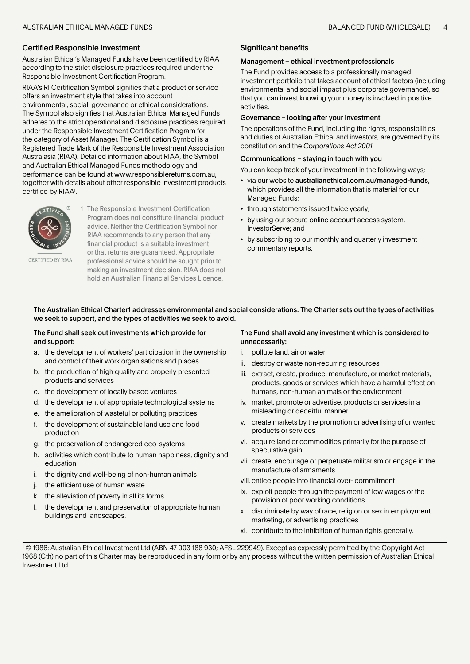### Certified Responsible Investment

Australian Ethical's Managed Funds have been certified by RIAA according to the strict disclosure practices required under the Responsible Investment Certification Program.

RIAA's RI Certification Symbol signifies that a product or service offers an investment style that takes into account environmental, social, governance or ethical considerations. The Symbol also signifies that Australian Ethical Managed Funds adheres to the strict operational and disclosure practices required under the Responsible Investment Certification Program for the category of Asset Manager. The Certification Symbol is a Registered Trade Mark of the Responsible Investment Association Australasia (RIAA). Detailed information about RIAA, the Symbol and Australian Ethical Managed Funds methodology and performance can be found at www.responsiblereturns.com.au, together with details about other responsible investment products certified by RIAA1 .



CERTIFIED BY RIAA

1 The Responsible Investment Certification Program does not constitute financial product advice. Neither the Certification Symbol nor RIAA recommends to any person that any financial product is a suitable investment or that returns are guaranteed. Appropriate professional advice should be sought prior to making an investment decision. RIAA does not hold an Australian Financial Services Licence.

# Significant benefits

#### Management – ethical investment professionals

The Fund provides access to a professionally managed investment portfolio that takes account of ethical factors (including environmental and social impact plus corporate governance), so that you can invest knowing your money is involved in positive activities.

#### Governance – looking after your investment

The operations of the Fund, including the rights, responsibilities and duties of Australian Ethical and investors, are governed by its constitution and the *Corporations Act 2001*.

#### Communications – staying in touch with you

You can keep track of your investment in the following ways;

- via our website [australianethical.com.au/managed-funds](http://australianethical.com.au/managed-funds), which provides all the information that is material for our Managed Funds;
- through statements issued twice yearly;
- by using our secure online account access system, InvestorServe; and
- by subscribing to our monthly and quarterly investment commentary reports.

The Australian Ethical Charter1 addresses environmental and social considerations. The Charter sets out the types of activities we seek to support, and the types of activities we seek to avoid.

### The Fund shall seek out investments which provide for and support:

- a. the development of workers' participation in the ownership and control of their work organisations and places
- b. the production of high quality and properly presented products and services
- c. the development of locally based ventures
- d. the development of appropriate technological systems
- e. the amelioration of wasteful or polluting practices
- f. the development of sustainable land use and food production
- g. the preservation of endangered eco-systems
- h. activities which contribute to human happiness, dignity and education
- i. the dignity and well-being of non-human animals
- j. the efficient use of human waste
- k. the alleviation of poverty in all its forms
- l. the development and preservation of appropriate human buildings and landscapes.

# The Fund shall avoid any investment which is considered to unnecessarily:

- i. pollute land, air or water
- ii. destroy or waste non-recurring resources
- iii. extract, create, produce, manufacture, or market materials, products, goods or services which have a harmful effect on humans, non-human animals or the environment
- iv. market, promote or advertise, products or services in a misleading or deceitful manner
- v. create markets by the promotion or advertising of unwanted products or services
- vi. acquire land or commodities primarily for the purpose of speculative gain
- vii. create, encourage or perpetuate militarism or engage in the manufacture of armaments
- viii. entice people into financial over- commitment
- ix. exploit people through the payment of low wages or the provision of poor working conditions
- x. discriminate by way of race, religion or sex in employment, marketing, or advertising practices
- xi. contribute to the inhibition of human rights generally.

1 © 1986: Australian Ethical Investment Ltd (ABN 47 003 188 930; AFSL 229949). Except as expressly permitted by the Copyright Act 1968 (Cth) no part of this Charter may be reproduced in any form or by any process without the written permission of Australian Ethical Investment Ltd.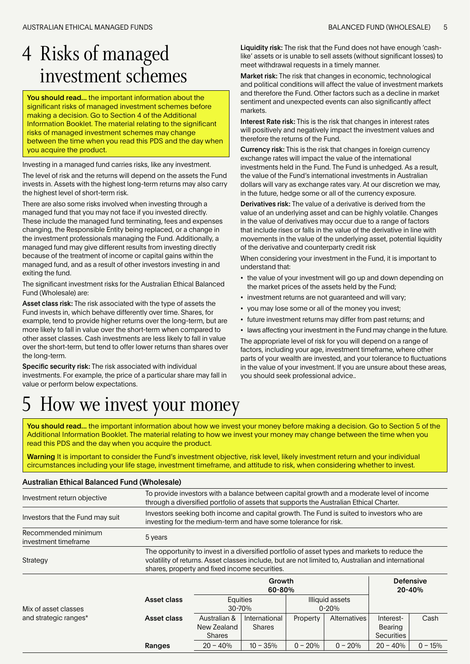# <span id="page-4-0"></span>4 Risks of managed investment schemes

You should read... the important information about the significant risks of managed investment schemes before making a decision. Go to Section 4 of the Additional Information Booklet. The material relating to the significant risks of managed investment schemes may change between the time when you read this PDS and the day when you acquire the product.

Investing in a managed fund carries risks, like any investment.

The level of risk and the returns will depend on the assets the Fund invests in. Assets with the highest long-term returns may also carry the highest level of short-term risk.

There are also some risks involved when investing through a managed fund that you may not face if you invested directly. These include the managed fund terminating, fees and expenses changing, the Responsible Entity being replaced, or a change in the investment professionals managing the Fund. Additionally, a managed fund may give different results from investing directly because of the treatment of income or capital gains within the managed fund, and as a result of other investors investing in and exiting the fund.

The significant investment risks for the Australian Ethical Balanced Fund (Wholesale) are:

Asset class risk: The risk associated with the type of assets the Fund invests in, which behave differently over time. Shares, for example, tend to provide higher returns over the long-term, but are more likely to fall in value over the short-term when compared to other asset classes. Cash investments are less likely to fall in value over the short-term, but tend to offer lower returns than shares over the long-term.

Specific security risk: The risk associated with individual investments. For example, the price of a particular share may fall in value or perform below expectations.

Liquidity risk: The risk that the Fund does not have enough 'cashlike' assets or is unable to sell assets (without significant losses) to meet withdrawal requests in a timely manner.

Market risk: The risk that changes in economic, technological and political conditions will affect the value of investment markets and therefore the Fund. Other factors such as a decline in market sentiment and unexpected events can also significantly affect markets.

Interest Rate risk: This is the risk that changes in interest rates will positively and negatively impact the investment values and therefore the returns of the Fund.

Currency risk: This is the risk that changes in foreign currency exchange rates will impact the value of the international investments held in the Fund. The Fund is unhedged. As a result, the value of the Fund's international investments in Australian dollars will vary as exchange rates vary. At our discretion we may, in the future, hedge some or all of the currency exposure.

Derivatives risk: The value of a derivative is derived from the value of an underlying asset and can be highly volatile. Changes in the value of derivatives may occur due to a range of factors that include rises or falls in the value of the derivative in line with movements in the value of the underlying asset, potential liquidity of the derivative and counterparty credit risk

When considering your investment in the Fund, it is important to understand that:

- the value of your investment will go up and down depending on the market prices of the assets held by the Fund;
- investment returns are not guaranteed and will vary;
- you may lose some or all of the money you invest;
- future investment returns may differ from past returns; and
- laws affecting your investment in the Fund may change in the future.

The appropriate level of risk for you will depend on a range of factors, including your age, investment timeframe, where other parts of your wealth are invested, and your tolerance to fluctuations in the value of your investment. If you are unsure about these areas, you should seek professional advice..

# 5 How we invest your money

You should read... the important information about how we invest your money before making a decision. Go to Section 5 of the Additional Information Booklet. The material relating to how we invest your money may change between the time when you read this PDS and the day when you acquire the product.

Warning It is important to consider the Fund's investment objective, risk level, likely investment return and your individual circumstances including your life stage, investment timeframe, and attitude to risk, when considering whether to invest.

# Australian Ethical Balanced Fund (Wholesale)

| Investment return objective                 | To provide investors with a balance between capital growth and a moderate level of income<br>through a diversified portfolio of assets that supports the Australian Ethical Charter.                                                                 |                                                        |                                |           |                     |                                                  |           |
|---------------------------------------------|------------------------------------------------------------------------------------------------------------------------------------------------------------------------------------------------------------------------------------------------------|--------------------------------------------------------|--------------------------------|-----------|---------------------|--------------------------------------------------|-----------|
| Investors that the Fund may suit            | Investors seeking both income and capital growth. The Fund is suited to investors who are<br>investing for the medium-term and have some tolerance for risk.                                                                                         |                                                        |                                |           |                     |                                                  |           |
| Recommended minimum<br>investment timeframe | 5 years                                                                                                                                                                                                                                              |                                                        |                                |           |                     |                                                  |           |
| Strategy                                    | The opportunity to invest in a diversified portfolio of asset types and markets to reduce the<br>volatility of returns. Asset classes include, but are not limited to, Australian and international<br>shares, property and fixed income securities. |                                                        |                                |           |                     |                                                  |           |
|                                             |                                                                                                                                                                                                                                                      | Growth<br>60-80%                                       |                                |           |                     | <b>Defensive</b><br>20-40%                       |           |
| Mix of asset classes                        | Asset class                                                                                                                                                                                                                                          | Equities<br>Illiquid assets<br>$30 - 70%$<br>$0 - 20%$ |                                |           |                     |                                                  |           |
| and strategic ranges*                       | Asset class                                                                                                                                                                                                                                          | Australian &<br>New Zealand<br><b>Shares</b>           | International<br><b>Shares</b> | Property  | <b>Alternatives</b> | Interest-<br><b>Bearing</b><br><b>Securities</b> | Cash      |
|                                             | Ranges                                                                                                                                                                                                                                               | $20 - 40%$                                             | $10 - 35%$                     | $0 - 20%$ | $0 - 20%$           | $20 - 40%$                                       | $0 - 15%$ |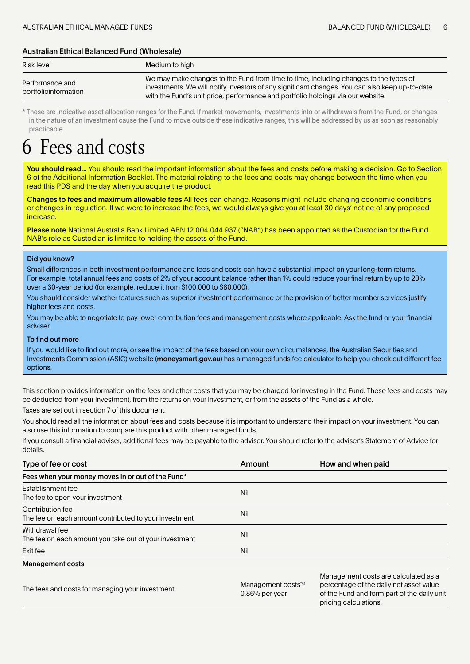# <span id="page-5-0"></span>Australian Ethical Balanced Fund (Wholesale)

| Risk level                              | Medium to high                                                                                                                                                                                                                                                            |
|-----------------------------------------|---------------------------------------------------------------------------------------------------------------------------------------------------------------------------------------------------------------------------------------------------------------------------|
| Performance and<br>portfolioinformation | We may make changes to the Fund from time to time, including changes to the types of<br>investments. We will notify investors of any significant changes. You can also keep up-to-date<br>with the Fund's unit price, performance and portfolio holdings via our website. |

\* These are indicative asset allocation ranges for the Fund. If market movements, investments into or withdrawals from the Fund, or changes in the nature of an investment cause the Fund to move outside these indicative ranges, this will be addressed by us as soon as reasonably practicable.

# Fees and costs

You should read... You should read the important information about the fees and costs before making a decision. Go to Section 6 of the Additional Information Booklet. The material relating to the fees and costs may change between the time when you read this PDS and the day when you acquire the product.

Changes to fees and maximum allowable fees All fees can change. Reasons might include changing economic conditions or changes in regulation. If we were to increase the fees, we would always give you at least 30 days' notice of any proposed increase.

Please note National Australia Bank Limited ABN 12 004 044 937 ("NAB") has been appointed as the Custodian for the Fund. NAB's role as Custodian is limited to holding the assets of the Fund.

### Did you know?

Small differences in both investment performance and fees and costs can have a substantial impact on your long-term returns. For example, total annual fees and costs of 2% of your account balance rather than 1% could reduce your final return by up to 20% over a 30-year period (for example, reduce it from \$100,000 to \$80,000).

You should consider whether features such as superior investment performance or the provision of better member services justify higher fees and costs.

You may be able to negotiate to pay lower contribution fees and management costs where applicable. Ask the fund or your financial adviser.

### To find out more

If you would like to find out more, or see the impact of the fees based on your own circumstances, the Australian Securities and Investments Commission (ASIC) website (moneysmart.gov.au) has a managed funds fee calculator to help you check out different fee options.

This section provides information on the fees and other costs that you may be charged for investing in the Fund. These fees and costs may be deducted from your investment, from the returns on your investment, or from the assets of the Fund as a whole.

Taxes are set out in section 7 of this document.

You should read all the information about fees and costs because it is important to understand their impact on your investment. You can also use this information to compare this product with other managed funds.

If you consult a financial adviser, additional fees may be payable to the adviser. You should refer to the adviser's Statement of Advice for details.

| Type of fee or cost                                                       | Amount                                              | How and when paid                                                                                                                                       |
|---------------------------------------------------------------------------|-----------------------------------------------------|---------------------------------------------------------------------------------------------------------------------------------------------------------|
| Fees when your money moves in or out of the Fund*                         |                                                     |                                                                                                                                                         |
| Establishment fee<br>The fee to open your investment                      | Nil                                                 |                                                                                                                                                         |
| Contribution fee<br>The fee on each amount contributed to your investment | Nil                                                 |                                                                                                                                                         |
| Withdrawal fee<br>The fee on each amount you take out of your investment  | Nil                                                 |                                                                                                                                                         |
| Exit fee                                                                  | Nil                                                 |                                                                                                                                                         |
| <b>Management costs</b>                                                   |                                                     |                                                                                                                                                         |
| The fees and costs for managing your investment                           | Management costs <sup>*@</sup><br>$0.86\%$ per year | Management costs are calculated as a<br>percentage of the daily net asset value<br>of the Fund and form part of the daily unit<br>pricing calculations. |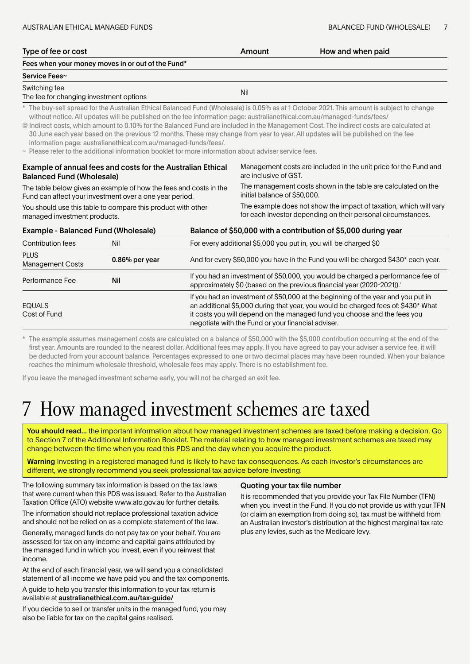<span id="page-6-0"></span>

| Type of fee or cost                                                                                                          |                                                                                                                                                                               |                                                                                               | Amount                                                                                                                                                                                                                                                                                                  | How and when paid                                                                                                                                                                                                                                                                                                                                                                                                                                                                                                                                   |  |  |
|------------------------------------------------------------------------------------------------------------------------------|-------------------------------------------------------------------------------------------------------------------------------------------------------------------------------|-----------------------------------------------------------------------------------------------|---------------------------------------------------------------------------------------------------------------------------------------------------------------------------------------------------------------------------------------------------------------------------------------------------------|-----------------------------------------------------------------------------------------------------------------------------------------------------------------------------------------------------------------------------------------------------------------------------------------------------------------------------------------------------------------------------------------------------------------------------------------------------------------------------------------------------------------------------------------------------|--|--|
|                                                                                                                              | Fees when your money moves in or out of the Fund*                                                                                                                             |                                                                                               |                                                                                                                                                                                                                                                                                                         |                                                                                                                                                                                                                                                                                                                                                                                                                                                                                                                                                     |  |  |
| Service Fees~                                                                                                                |                                                                                                                                                                               |                                                                                               |                                                                                                                                                                                                                                                                                                         |                                                                                                                                                                                                                                                                                                                                                                                                                                                                                                                                                     |  |  |
| Switching fee<br>The fee for changing investment options                                                                     |                                                                                                                                                                               |                                                                                               | Nil                                                                                                                                                                                                                                                                                                     |                                                                                                                                                                                                                                                                                                                                                                                                                                                                                                                                                     |  |  |
|                                                                                                                              | information page: australianethical.com.au/managed-funds/fees/.<br>$\sim$ Please refer to the additional information booklet for more information about adviser service fees. |                                                                                               |                                                                                                                                                                                                                                                                                                         | * The buy-sell spread for the Australian Ethical Balanced Fund (Wholesale) is 0.05% as at 1 October 2021. This amount is subject to change<br>without notice. All updates will be published on the fee information page: australianethical.com.au/managed-funds/fees/<br>@ Indirect costs, which amount to 0.10% for the Balanced Fund are included in the Management Cost. The indirect costs are calculated at<br>30 June each year based on the previous 12 months. These may change from year to year. All updates will be published on the fee |  |  |
| <b>Balanced Fund (Wholesale)</b>                                                                                             | Example of annual fees and costs for the Australian Ethical                                                                                                                   |                                                                                               | are inclusive of GST.                                                                                                                                                                                                                                                                                   | Management costs are included in the unit price for the Fund and                                                                                                                                                                                                                                                                                                                                                                                                                                                                                    |  |  |
| The table below gives an example of how the fees and costs in the<br>Fund can affect your investment over a one year period. |                                                                                                                                                                               | The management costs shown in the table are calculated on the<br>initial balance of \$50,000. |                                                                                                                                                                                                                                                                                                         |                                                                                                                                                                                                                                                                                                                                                                                                                                                                                                                                                     |  |  |
| You should use this table to compare this product with other<br>managed investment products.                                 |                                                                                                                                                                               |                                                                                               | The example does not show the impact of taxation, which will vary<br>for each investor depending on their personal circumstances.                                                                                                                                                                       |                                                                                                                                                                                                                                                                                                                                                                                                                                                                                                                                                     |  |  |
| <b>Example - Balanced Fund (Wholesale)</b>                                                                                   |                                                                                                                                                                               |                                                                                               | Balance of \$50,000 with a contribution of \$5,000 during year                                                                                                                                                                                                                                          |                                                                                                                                                                                                                                                                                                                                                                                                                                                                                                                                                     |  |  |
| <b>Contribution fees</b>                                                                                                     | Nil                                                                                                                                                                           |                                                                                               | For every additional \$5,000 you put in, you will be charged \$0                                                                                                                                                                                                                                        |                                                                                                                                                                                                                                                                                                                                                                                                                                                                                                                                                     |  |  |
| <b>PLUS</b><br><b>Management Costs</b>                                                                                       | $0.86\%$ per year                                                                                                                                                             |                                                                                               | And for every \$50,000 you have in the Fund you will be charged \$430* each year.                                                                                                                                                                                                                       |                                                                                                                                                                                                                                                                                                                                                                                                                                                                                                                                                     |  |  |
| Performance Fee                                                                                                              | <b>Nil</b>                                                                                                                                                                    |                                                                                               | If you had an investment of \$50,000, you would be charged a performance fee of<br>approximately \$0 (based on the previous financial year (2020-2021)). <sup>+</sup>                                                                                                                                   |                                                                                                                                                                                                                                                                                                                                                                                                                                                                                                                                                     |  |  |
| <b>EQUALS</b><br>Cost of Fund                                                                                                |                                                                                                                                                                               |                                                                                               | If you had an investment of \$50,000 at the beginning of the year and you put in<br>an additional \$5,000 during that year, you would be charged fees of: \$430* What<br>it costs you will depend on the managed fund you choose and the fees you<br>negotiate with the Fund or your financial adviser. |                                                                                                                                                                                                                                                                                                                                                                                                                                                                                                                                                     |  |  |

The example assumes management costs are calculated on a balance of \$50,000 with the \$5,000 contribution occurring at the end of the first year. Amounts are rounded to the nearest dollar. Additional fees may apply. If you have agreed to pay your adviser a service fee, it will be deducted from your account balance. Percentages expressed to one or two decimal places may have been rounded. When your balance reaches the minimum wholesale threshold, wholesale fees may apply. There is no establishment fee.

If you leave the managed investment scheme early, you will not be charged an exit fee.

# 7 How managed investment schemes are taxed

You should read... the important information about how managed investment schemes are taxed before making a decision. Go to Section 7 of the Additional Information Booklet. The material relating to how managed investment schemes are taxed may change between the time when you read this PDS and the day when you acquire the product.

Warning Investing in a registered managed fund is likely to have tax consequences. As each investor's circumstances are different, we strongly recommend you seek professional tax advice before investing.

The following summary tax information is based on the tax laws that were current when this PDS was issued. Refer to the Australian Taxation Office (ATO) website www.ato.gov.au for further details.

The information should not replace professional taxation advice and should not be relied on as a complete statement of the law.

Generally, managed funds do not pay tax on your behalf. You are assessed for tax on any income and capital gains attributed by the managed fund in which you invest, even if you reinvest that income.

At the end of each financial year, we will send you a consolidated statement of all income we have paid you and the tax components.

A guide to help you transfer this information to your tax return is available at australianethical.com.au/tax-guide/

If you decide to sell or transfer units in the managed fund, you may also be liable for tax on the capital gains realised.

#### Quoting your tax file number

It is recommended that you provide your Tax File Number (TFN) when you invest in the Fund. If you do not provide us with your TFN (or claim an exemption from doing so), tax must be withheld from an Australian investor's distribution at the highest marginal tax rate plus any levies, such as the Medicare levy.